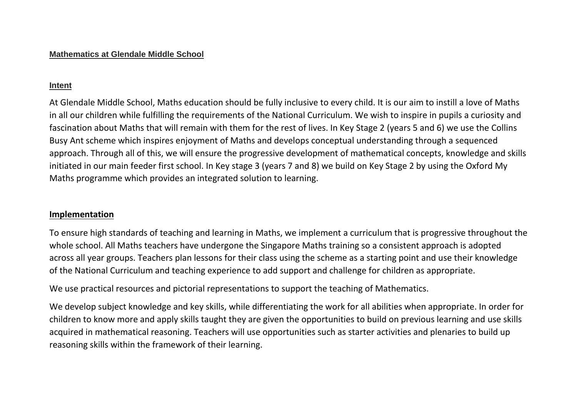## **Intent**

At Glendale Middle School, Maths education should be fully inclusive to every child. It is our aim to instill a love of Maths in all our children while fulfilling the requirements of the National Curriculum. We wish to inspire in pupils a curiosity and fascination about Maths that will remain with them for the rest of lives. In Key Stage 2 (years 5 and 6) we use the Collins Busy Ant scheme which inspires enjoyment of Maths and develops conceptual understanding through a sequenced approach. Through all of this, we will ensure the progressive development of mathematical concepts, knowledge and skills initiated in our main feeder first school. In Key stage 3 (years 7 and 8) we build on Key Stage 2 by using the Oxford My Maths programme which provides an integrated solution to learning.

## **Implementation**

To ensure high standards of teaching and learning in Maths, we implement a curriculum that is progressive throughout the whole school. All Maths teachers have undergone the Singapore Maths training so a consistent approach is adopted across all year groups. Teachers plan lessons for their class using the scheme as a starting point and use their knowledge of the National Curriculum and teaching experience to add support and challenge for children as appropriate.

We use practical resources and pictorial representations to support the teaching of Mathematics.

We develop subject knowledge and key skills, while differentiating the work for all abilities when appropriate. In order for children to know more and apply skills taught they are given the opportunities to build on previous learning and use skills acquired in mathematical reasoning. Teachers will use opportunities such as starter activities and plenaries to build up reasoning skills within the framework of their learning.